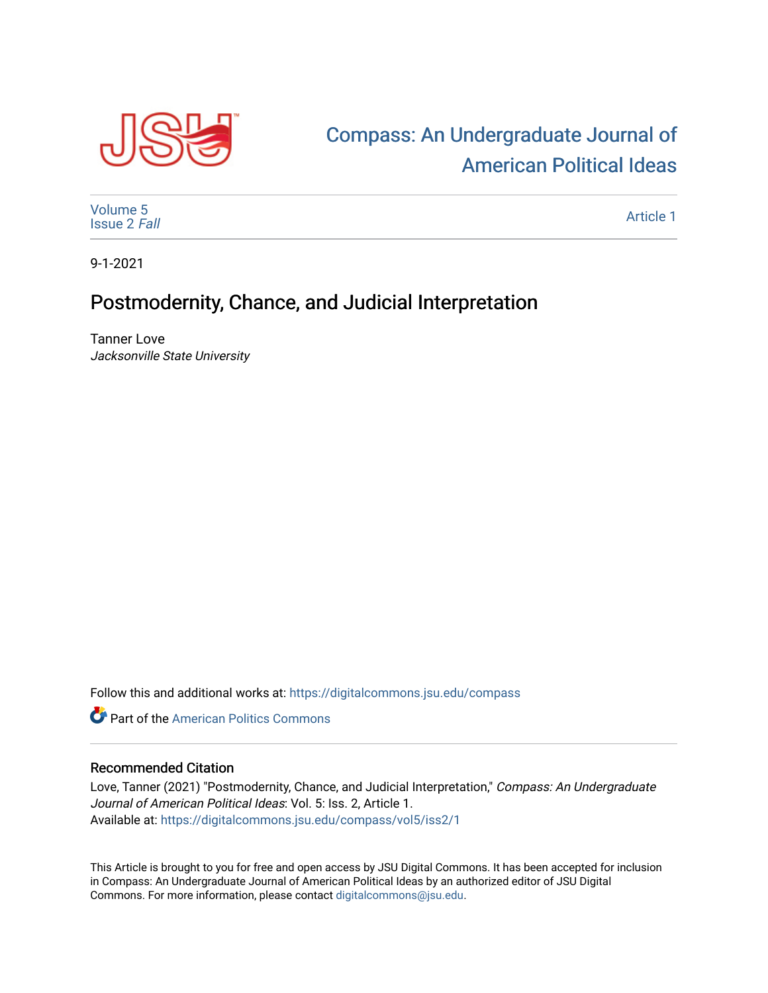

## [Compass: An Undergraduate Journal of](https://digitalcommons.jsu.edu/compass)  [American Political Ideas](https://digitalcommons.jsu.edu/compass)

[Volume 5](https://digitalcommons.jsu.edu/compass/vol5) [Issue 2](https://digitalcommons.jsu.edu/compass/vol5/iss2) Fall

[Article 1](https://digitalcommons.jsu.edu/compass/vol5/iss2/1) 

9-1-2021

## Postmodernity, Chance, and Judicial Interpretation

Tanner Love Jacksonville State University

Follow this and additional works at: [https://digitalcommons.jsu.edu/compass](https://digitalcommons.jsu.edu/compass?utm_source=digitalcommons.jsu.edu%2Fcompass%2Fvol5%2Fiss2%2F1&utm_medium=PDF&utm_campaign=PDFCoverPages)

**C** Part of the American Politics Commons

## Recommended Citation

Love, Tanner (2021) "Postmodernity, Chance, and Judicial Interpretation," Compass: An Undergraduate Journal of American Political Ideas: Vol. 5: Iss. 2, Article 1. Available at: [https://digitalcommons.jsu.edu/compass/vol5/iss2/1](https://digitalcommons.jsu.edu/compass/vol5/iss2/1?utm_source=digitalcommons.jsu.edu%2Fcompass%2Fvol5%2Fiss2%2F1&utm_medium=PDF&utm_campaign=PDFCoverPages)

This Article is brought to you for free and open access by JSU Digital Commons. It has been accepted for inclusion in Compass: An Undergraduate Journal of American Political Ideas by an authorized editor of JSU Digital Commons. For more information, please contact [digitalcommons@jsu.edu.](mailto:digitalcommons@jsu.edu)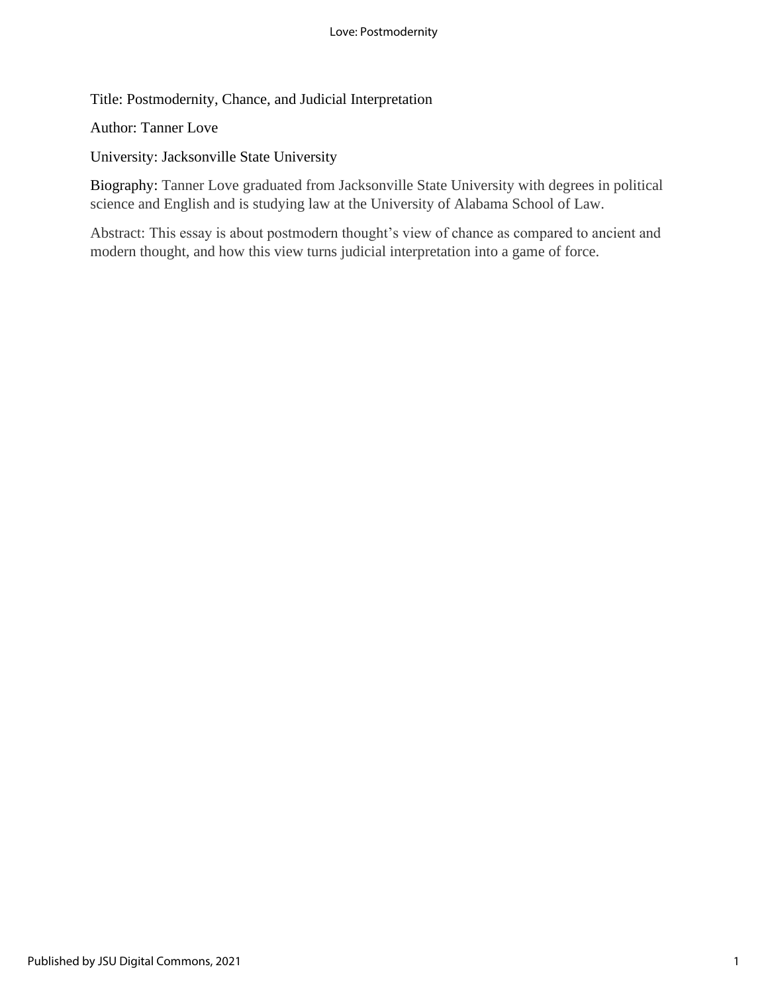Title: Postmodernity, Chance, and Judicial Interpretation

Author: Tanner Love

University: Jacksonville State University

Biography: Tanner Love graduated from Jacksonville State University with degrees in political science and English and is studying law at the University of Alabama School of Law.

Abstract: This essay is about postmodern thought's view of chance as compared to ancient and modern thought, and how this view turns judicial interpretation into a game of force.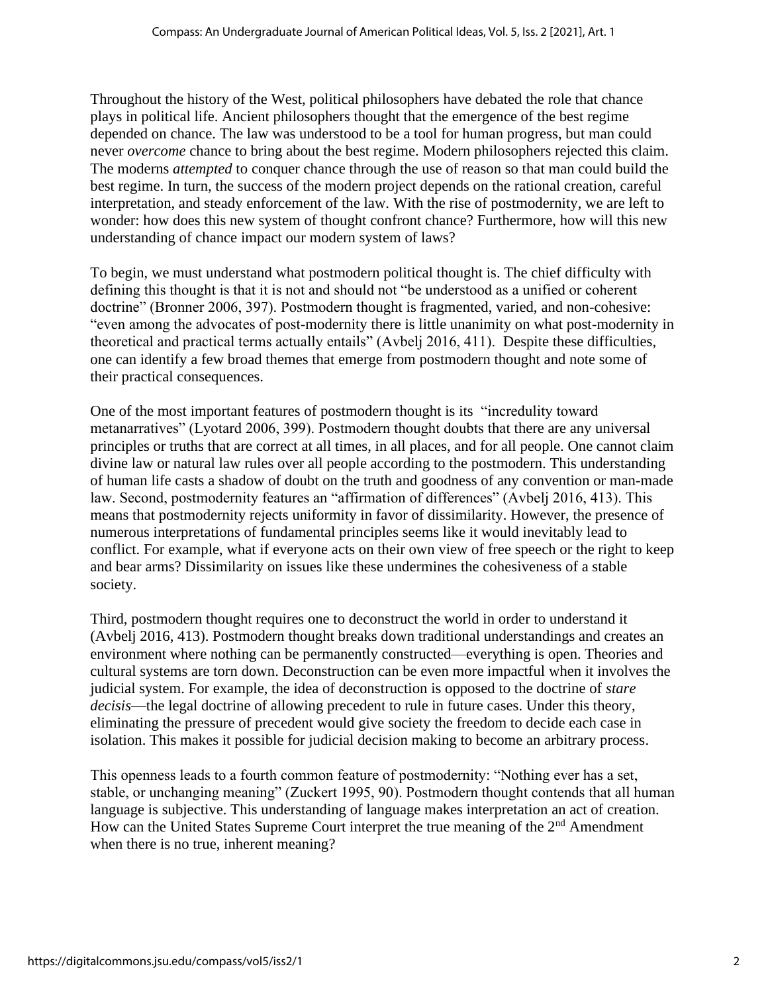Throughout the history of the West, political philosophers have debated the role that chance plays in political life. Ancient philosophers thought that the emergence of the best regime depended on chance. The law was understood to be a tool for human progress, but man could never *overcome* chance to bring about the best regime. Modern philosophers rejected this claim. The moderns *attempted* to conquer chance through the use of reason so that man could build the best regime. In turn, the success of the modern project depends on the rational creation, careful interpretation, and steady enforcement of the law. With the rise of postmodernity, we are left to wonder: how does this new system of thought confront chance? Furthermore, how will this new understanding of chance impact our modern system of laws?

To begin, we must understand what postmodern political thought is. The chief difficulty with defining this thought is that it is not and should not "be understood as a unified or coherent doctrine" (Bronner 2006, 397). Postmodern thought is fragmented, varied, and non-cohesive: "even among the advocates of post-modernity there is little unanimity on what post-modernity in theoretical and practical terms actually entails" (Avbelj 2016, 411). Despite these difficulties, one can identify a few broad themes that emerge from postmodern thought and note some of their practical consequences.

One of the most important features of postmodern thought is its "incredulity toward metanarratives" (Lyotard 2006, 399). Postmodern thought doubts that there are any universal principles or truths that are correct at all times, in all places, and for all people. One cannot claim divine law or natural law rules over all people according to the postmodern. This understanding of human life casts a shadow of doubt on the truth and goodness of any convention or man-made law. Second, postmodernity features an "affirmation of differences" (Avbelj 2016, 413). This means that postmodernity rejects uniformity in favor of dissimilarity. However, the presence of numerous interpretations of fundamental principles seems like it would inevitably lead to conflict. For example, what if everyone acts on their own view of free speech or the right to keep and bear arms? Dissimilarity on issues like these undermines the cohesiveness of a stable society.

Third, postmodern thought requires one to deconstruct the world in order to understand it (Avbelj 2016, 413). Postmodern thought breaks down traditional understandings and creates an environment where nothing can be permanently constructed—everything is open. Theories and cultural systems are torn down. Deconstruction can be even more impactful when it involves the judicial system. For example, the idea of deconstruction is opposed to the doctrine of *stare decisis*—the legal doctrine of allowing precedent to rule in future cases. Under this theory, eliminating the pressure of precedent would give society the freedom to decide each case in isolation. This makes it possible for judicial decision making to become an arbitrary process.

This openness leads to a fourth common feature of postmodernity: "Nothing ever has a set, stable, or unchanging meaning" (Zuckert 1995, 90). Postmodern thought contends that all human language is subjective. This understanding of language makes interpretation an act of creation. How can the United States Supreme Court interpret the true meaning of the  $2<sup>nd</sup>$  Amendment when there is no true, inherent meaning?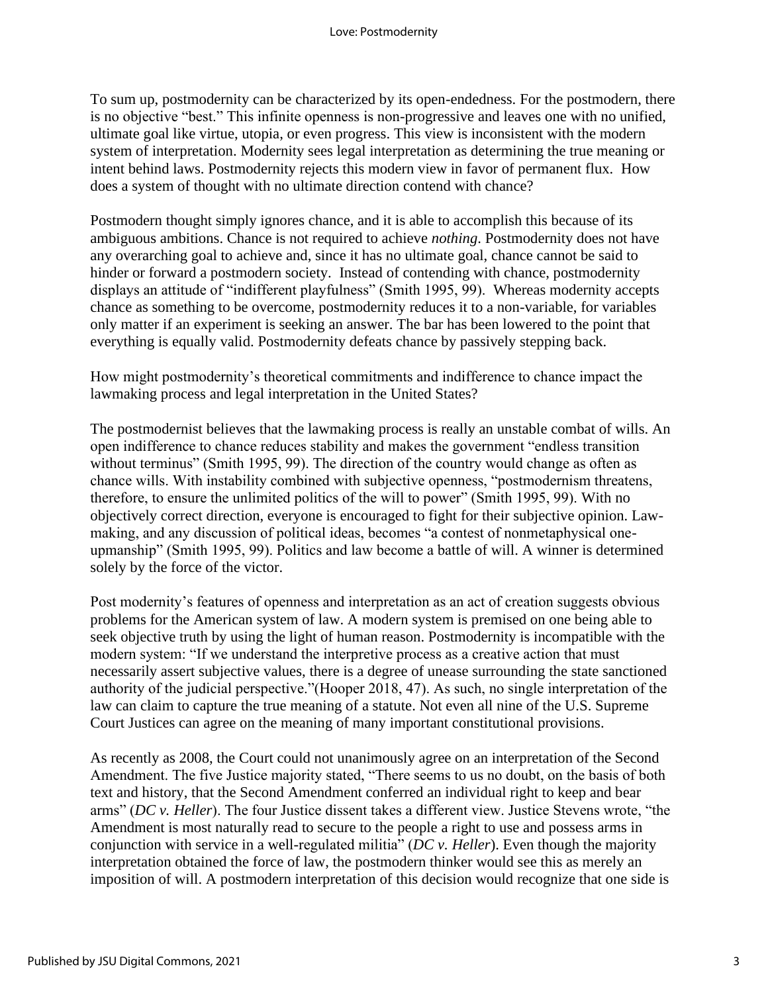To sum up, postmodernity can be characterized by its open-endedness. For the postmodern, there is no objective "best." This infinite openness is non-progressive and leaves one with no unified, ultimate goal like virtue, utopia, or even progress. This view is inconsistent with the modern system of interpretation. Modernity sees legal interpretation as determining the true meaning or intent behind laws. Postmodernity rejects this modern view in favor of permanent flux. How does a system of thought with no ultimate direction contend with chance?

Postmodern thought simply ignores chance, and it is able to accomplish this because of its ambiguous ambitions. Chance is not required to achieve *nothing*. Postmodernity does not have any overarching goal to achieve and, since it has no ultimate goal, chance cannot be said to hinder or forward a postmodern society. Instead of contending with chance, postmodernity displays an attitude of "indifferent playfulness" (Smith 1995, 99). Whereas modernity accepts chance as something to be overcome, postmodernity reduces it to a non-variable, for variables only matter if an experiment is seeking an answer. The bar has been lowered to the point that everything is equally valid. Postmodernity defeats chance by passively stepping back.

How might postmodernity's theoretical commitments and indifference to chance impact the lawmaking process and legal interpretation in the United States?

The postmodernist believes that the lawmaking process is really an unstable combat of wills. An open indifference to chance reduces stability and makes the government "endless transition without terminus" (Smith 1995, 99). The direction of the country would change as often as chance wills. With instability combined with subjective openness, "postmodernism threatens, therefore, to ensure the unlimited politics of the will to power" (Smith 1995, 99). With no objectively correct direction, everyone is encouraged to fight for their subjective opinion. Lawmaking, and any discussion of political ideas, becomes "a contest of nonmetaphysical oneupmanship" (Smith 1995, 99). Politics and law become a battle of will. A winner is determined solely by the force of the victor.

Post modernity's features of openness and interpretation as an act of creation suggests obvious problems for the American system of law. A modern system is premised on one being able to seek objective truth by using the light of human reason. Postmodernity is incompatible with the modern system: "If we understand the interpretive process as a creative action that must necessarily assert subjective values, there is a degree of unease surrounding the state sanctioned authority of the judicial perspective."(Hooper 2018, 47). As such, no single interpretation of the law can claim to capture the true meaning of a statute. Not even all nine of the U.S. Supreme Court Justices can agree on the meaning of many important constitutional provisions.

As recently as 2008, the Court could not unanimously agree on an interpretation of the Second Amendment. The five Justice majority stated, "There seems to us no doubt, on the basis of both text and history, that the Second Amendment conferred an individual right to keep and bear arms" (*DC v. Heller*). The four Justice dissent takes a different view. Justice Stevens wrote, "the Amendment is most naturally read to secure to the people a right to use and possess arms in conjunction with service in a well-regulated militia" (*DC v. Heller*). Even though the majority interpretation obtained the force of law, the postmodern thinker would see this as merely an imposition of will. A postmodern interpretation of this decision would recognize that one side is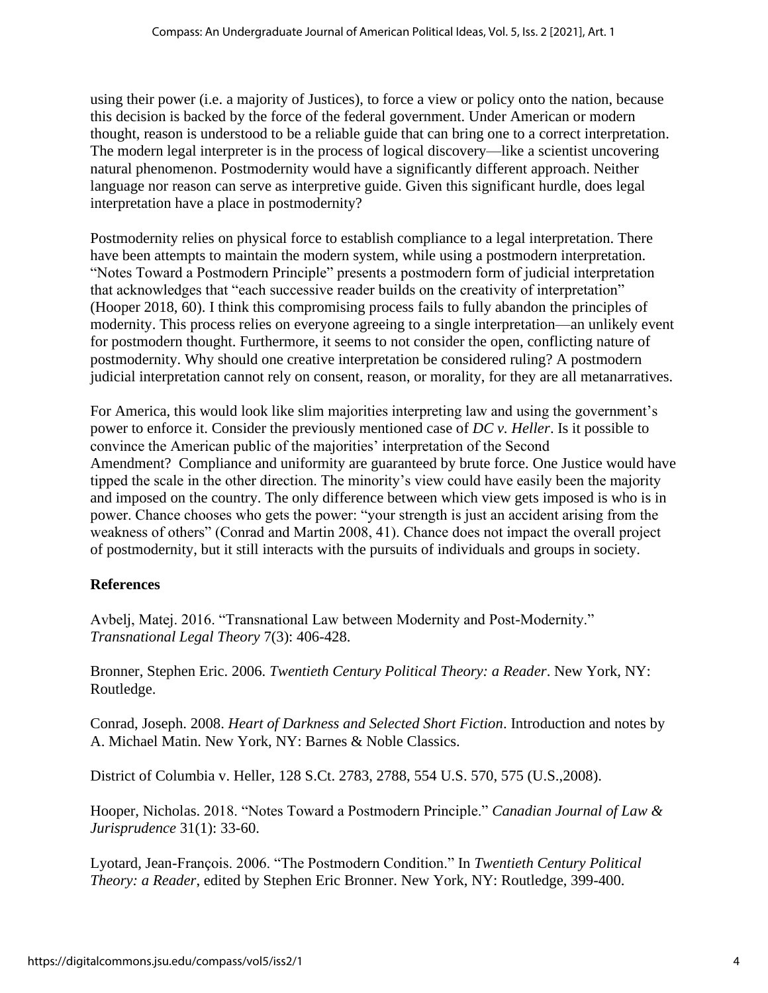using their power (i.e. a majority of Justices), to force a view or policy onto the nation, because this decision is backed by the force of the federal government. Under American or modern thought, reason is understood to be a reliable guide that can bring one to a correct interpretation. The modern legal interpreter is in the process of logical discovery—like a scientist uncovering natural phenomenon. Postmodernity would have a significantly different approach. Neither language nor reason can serve as interpretive guide. Given this significant hurdle, does legal interpretation have a place in postmodernity?

Postmodernity relies on physical force to establish compliance to a legal interpretation. There have been attempts to maintain the modern system, while using a postmodern interpretation. "Notes Toward a Postmodern Principle" presents a postmodern form of judicial interpretation that acknowledges that "each successive reader builds on the creativity of interpretation" (Hooper 2018, 60). I think this compromising process fails to fully abandon the principles of modernity. This process relies on everyone agreeing to a single interpretation—an unlikely event for postmodern thought. Furthermore, it seems to not consider the open, conflicting nature of postmodernity. Why should one creative interpretation be considered ruling? A postmodern judicial interpretation cannot rely on consent, reason, or morality, for they are all metanarratives.

For America, this would look like slim majorities interpreting law and using the government's power to enforce it. Consider the previously mentioned case of *DC v. Heller*. Is it possible to convince the American public of the majorities' interpretation of the Second Amendment? Compliance and uniformity are guaranteed by brute force. One Justice would have tipped the scale in the other direction. The minority's view could have easily been the majority and imposed on the country. The only difference between which view gets imposed is who is in power. Chance chooses who gets the power: "your strength is just an accident arising from the weakness of others" (Conrad and Martin 2008, 41). Chance does not impact the overall project of postmodernity, but it still interacts with the pursuits of individuals and groups in society.

## **References**

Avbelj, Matej. 2016. "Transnational Law between Modernity and Post-Modernity." *Transnational Legal Theory* 7(3): 406-428.

Bronner, Stephen Eric. 2006. *Twentieth Century Political Theory: a Reader*. New York, NY: Routledge.

Conrad, Joseph. 2008. *Heart of Darkness and Selected Short Fiction*. Introduction and notes by A. Michael Matin. New York, NY: Barnes & Noble Classics.

District of Columbia v. Heller, 128 S.Ct. 2783, 2788, 554 U.S. 570, 575 (U.S.,2008).

Hooper, Nicholas. 2018. "Notes Toward a Postmodern Principle." *Canadian Journal of Law & Jurisprudence* 31(1): 33-60.

Lyotard, Jean-François. 2006. "The Postmodern Condition." In *Twentieth Century Political Theory: a Reader*, edited by Stephen Eric Bronner. New York, NY: Routledge, 399-400.